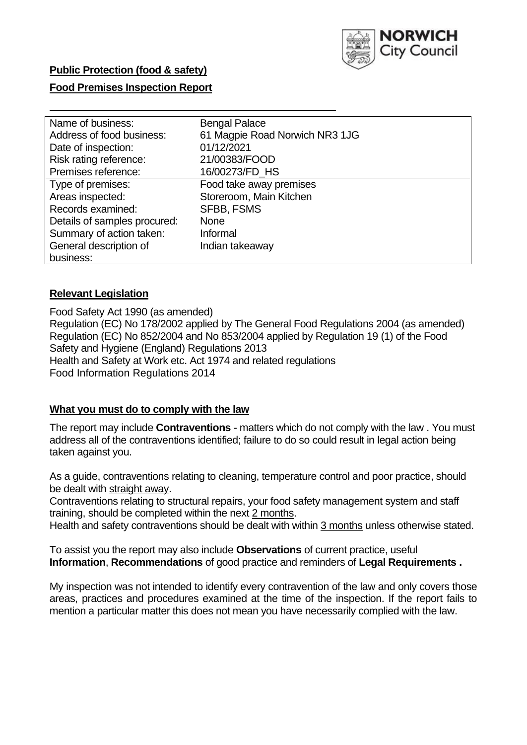

## **Food Premises Inspection Report**

| Name of business:            | <b>Bengal Palace</b>           |
|------------------------------|--------------------------------|
| Address of food business:    | 61 Magpie Road Norwich NR3 1JG |
| Date of inspection:          | 01/12/2021                     |
| Risk rating reference:       | 21/00383/FOOD                  |
| Premises reference:          | 16/00273/FD_HS                 |
| Type of premises:            | Food take away premises        |
| Areas inspected:             | Storeroom, Main Kitchen        |
| Records examined:            | <b>SFBB, FSMS</b>              |
| Details of samples procured: | <b>None</b>                    |
| Summary of action taken:     | Informal                       |
| General description of       | Indian takeaway                |
| business:                    |                                |

## **Relevant Legislation**

 Food Safety Act 1990 (as amended) Regulation (EC) No 178/2002 applied by The General Food Regulations 2004 (as amended) Regulation (EC) No 852/2004 and No 853/2004 applied by Regulation 19 (1) of the Food Safety and Hygiene (England) Regulations 2013 Health and Safety at Work etc. Act 1974 and related regulations Food Information Regulations 2014

### **What you must do to comply with the law**

 The report may include **Contraventions** - matters which do not comply with the law . You must address all of the contraventions identified; failure to do so could result in legal action being taken against you.

 As a guide, contraventions relating to cleaning, temperature control and poor practice, should be dealt with straight away.

 Contraventions relating to structural repairs, your food safety management system and staff training, should be completed within the next 2 months.

Health and safety contraventions should be dealt with within 3 months unless otherwise stated.

 To assist you the report may also include **Observations** of current practice, useful **Information**, **Recommendations** of good practice and reminders of **Legal Requirements .** 

 My inspection was not intended to identify every contravention of the law and only covers those areas, practices and procedures examined at the time of the inspection. If the report fails to mention a particular matter this does not mean you have necessarily complied with the law.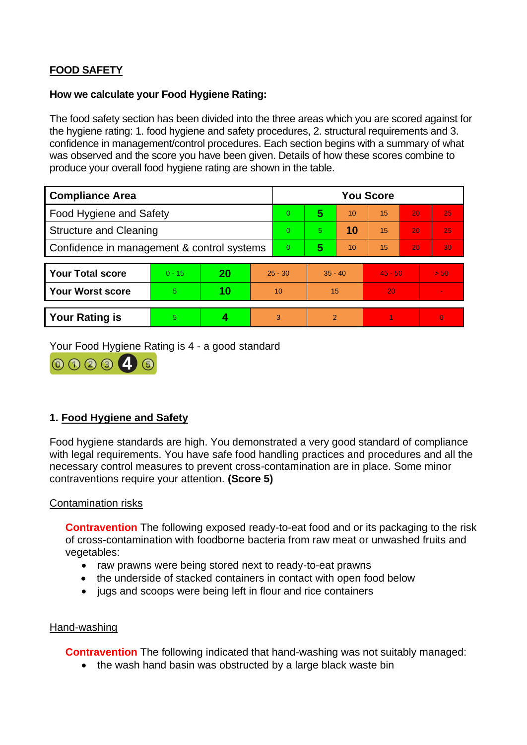# **FOOD SAFETY**

## **How we calculate your Food Hygiene Rating:**

 The food safety section has been divided into the three areas which you are scored against for the hygiene rating: 1. food hygiene and safety procedures, 2. structural requirements and 3. confidence in management/control procedures. Each section begins with a summary of what was observed and the score you have been given. Details of how these scores combine to produce your overall food hygiene rating are shown in the table.

| <b>Compliance Area</b>                     |          |    |           | <b>You Score</b> |                |    |           |    |                |  |  |
|--------------------------------------------|----------|----|-----------|------------------|----------------|----|-----------|----|----------------|--|--|
| Food Hygiene and Safety                    |          |    |           | $\Omega$         | 5              | 10 | 15        | 20 | 25             |  |  |
| <b>Structure and Cleaning</b>              |          |    |           | $\Omega$         | 5.             | 10 | 15        | 20 | 25             |  |  |
| Confidence in management & control systems |          |    |           | $\Omega$         | 5              | 10 | 15        | 20 | 30             |  |  |
|                                            |          |    |           |                  |                |    |           |    |                |  |  |
| <b>Your Total score</b>                    | $0 - 15$ | 20 | $25 - 30$ |                  | $35 - 40$      |    | $45 - 50$ |    | > 50           |  |  |
| Your Worst score                           | 5.       | 10 | 10        |                  | 15             |    | 20        |    | $\blacksquare$ |  |  |
|                                            |          |    |           |                  |                |    |           |    |                |  |  |
| <b>Your Rating is</b>                      | 5        |    |           | 3                | $\overline{2}$ |    |           |    | $\Omega$       |  |  |

Your Food Hygiene Rating is 4 - a good standard



# **1. Food Hygiene and Safety**

 with legal requirements. You have safe food handling practices and procedures and all the Food hygiene standards are high. You demonstrated a very good standard of compliance necessary control measures to prevent cross-contamination are in place. Some minor contraventions require your attention. **(Score 5)** 

# Contamination risks

**Contravention** The following exposed ready-to-eat food and or its packaging to the risk of cross-contamination with foodborne bacteria from raw meat or unwashed fruits and vegetables:

- raw prawns were being stored next to ready-to-eat prawns
- the underside of stacked containers in contact with open food below
- jugs and scoops were being left in flour and rice containers

### Hand-washing

**Contravention** The following indicated that hand-washing was not suitably managed:

• the wash hand basin was obstructed by a large black waste bin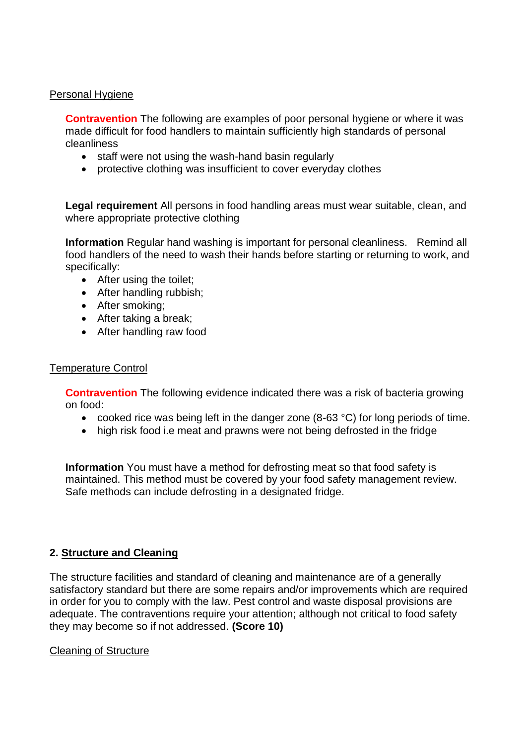## Personal Hygiene

 made difficult for food handlers to maintain sufficiently high standards of personal **Contravention** The following are examples of poor personal hygiene or where it was cleanliness

- staff were not using the wash-hand basin regularly
- protective clothing was insufficient to cover everyday clothes

**Legal requirement** All persons in food handling areas must wear suitable, clean, and where appropriate protective clothing

 **Information** Regular hand washing is important for personal cleanliness. Remind all food handlers of the need to wash their hands before starting or returning to work, and specifically:

- After using the toilet:
- After handling rubbish;
- After smoking;
- After taking a break;
- After handling raw food

# Temperature Control

 **Contravention** The following evidence indicated there was a risk of bacteria growing on food:

- cooked rice was being left in the danger zone (8-63 °C) for long periods of time.
- high risk food i.e meat and prawns were not being defrosted in the fridge

**Information** You must have a method for defrosting meat so that food safety is maintained. This method must be covered by your food safety management review. Safe methods can include defrosting in a designated fridge.

# **2. Structure and Cleaning**

The structure facilities and standard of cleaning and maintenance are of a generally satisfactory standard but there are some repairs and/or improvements which are required in order for you to comply with the law. Pest control and waste disposal provisions are adequate. The contraventions require your attention; although not critical to food safety they may become so if not addressed. **(Score 10)** 

# Cleaning of Structure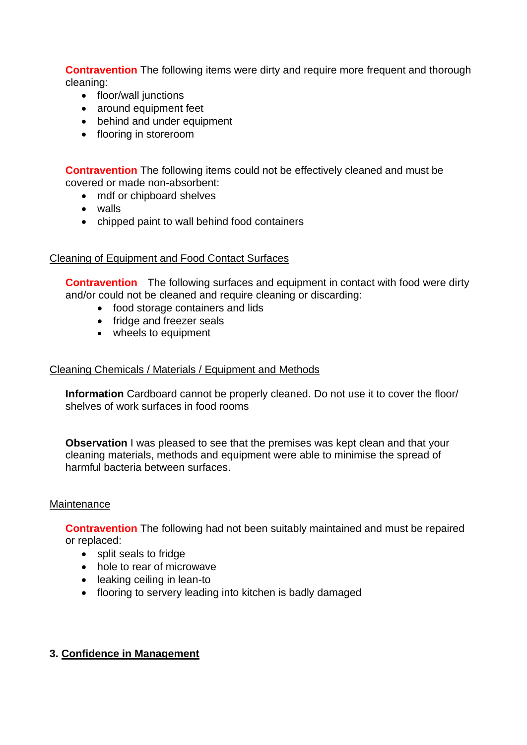**Contravention** The following items were dirty and require more frequent and thorough cleaning:

- floor/wall junctions
- around equipment feet
- behind and under equipment
- flooring in storeroom

 **Contravention** The following items could not be effectively cleaned and must be covered or made non-absorbent:

- mdf or chipboard shelves
- walls
- chipped paint to wall behind food containers

## Cleaning of Equipment and Food Contact Surfaces

**Contravention** The following surfaces and equipment in contact with food were dirty and/or could not be cleaned and require cleaning or discarding:

- food storage containers and lids
- fridge and freezer seals
- wheels to equipment

# Cleaning Chemicals / Materials / Equipment and Methods

**Information** Cardboard cannot be properly cleaned. Do not use it to cover the floor/ shelves of work surfaces in food rooms

**Observation I** was pleased to see that the premises was kept clean and that your cleaning materials, methods and equipment were able to minimise the spread of harmful bacteria between surfaces.

### **Maintenance**

**Contravention** The following had not been suitably maintained and must be repaired or replaced:

- split seals to fridge
- hole to rear of microwave
- leaking ceiling in lean-to
- flooring to servery leading into kitchen is badly damaged

# **3. Confidence in Management**